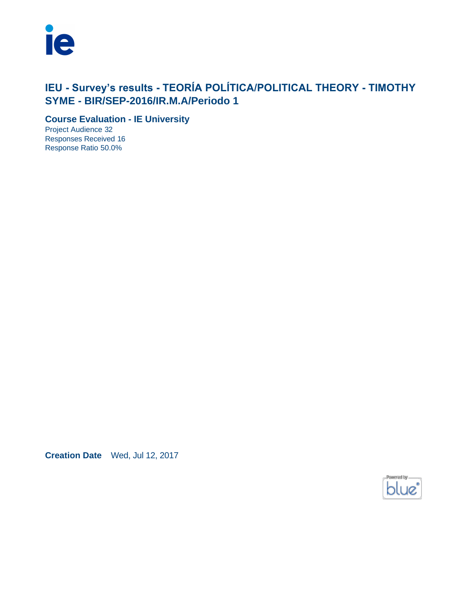

# **IEU - Survey's results - TEORÍA POLÍTICA/POLITICAL THEORY - TIMOTHY SYME - BIR/SEP-2016/IR.M.A/Periodo 1**

**Course Evaluation - IE University**

Project Audience 32 Responses Received 16 Response Ratio 50.0%

**Creation Date** Wed, Jul 12, 2017

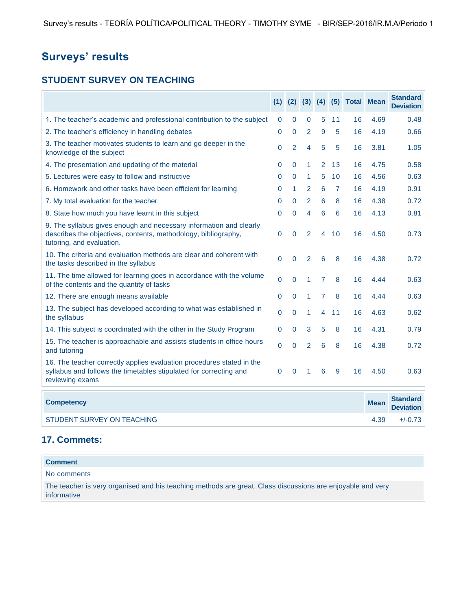# **Surveys' results**

### **STUDENT SURVEY ON TEACHING**

| <b>Surveys' results</b>                                                                                                                                           |              |                |                |                |                 |                                |             |                                     |
|-------------------------------------------------------------------------------------------------------------------------------------------------------------------|--------------|----------------|----------------|----------------|-----------------|--------------------------------|-------------|-------------------------------------|
| <b>STUDENT SURVEY ON TEACHING</b>                                                                                                                                 |              |                |                |                |                 |                                |             |                                     |
|                                                                                                                                                                   |              |                |                |                |                 | (1) (2) (3) (4) (5) Total Mean |             | <b>Standard</b><br><b>Deviation</b> |
| 1. The teacher's academic and professional contribution to the subject                                                                                            | 0            | $\mathbf 0$    | 0              | 5              | 11              | 16                             | 4.69        | 0.48                                |
| 2. The teacher's efficiency in handling debates                                                                                                                   | 0            | 0              | $\overline{2}$ | 9              | 5               | 16                             | 4.19        | 0.66                                |
| 3. The teacher motivates students to learn and go deeper in the<br>knowledge of the subject                                                                       | 0            | $\overline{2}$ | 4              | 5              | 5               | 16                             | 3.81        | 1.05                                |
| 4. The presentation and updating of the material                                                                                                                  | 0            | $\mathbf{0}$   | 1              | $\overline{2}$ | 13              | 16                             | 4.75        | 0.58                                |
| 5. Lectures were easy to follow and instructive                                                                                                                   | $\mathbf 0$  | 0              | 1              | 5              | 10 <sup>1</sup> | 16                             | 4.56        | 0.63                                |
| 6. Homework and other tasks have been efficient for learning                                                                                                      | 0            | 1              | $\overline{2}$ | 6              | $\mathbf{7}$    | 16                             | 4.19        | 0.91                                |
| 7. My total evaluation for the teacher                                                                                                                            | $\mathbf{0}$ | $\Omega$       | 2              | 6              | 8               | 16                             | 4.38        | 0.72                                |
| 8. State how much you have learnt in this subject                                                                                                                 | $\mathbf{0}$ | $\Omega$       | 4              | 6              | 6               | 16                             | 4.13        | 0.81                                |
| 9. The syllabus gives enough and necessary information and clearly<br>describes the objectives, contents, methodology, bibliography,<br>tutoring, and evaluation. | $\pmb{0}$    | 0              | $\overline{2}$ | 4              | 10              | 16                             | 4.50        | 0.73                                |
| 10. The criteria and evaluation methods are clear and coherent with<br>the tasks described in the syllabus                                                        | $\mathbf 0$  | $\mathbf 0$    | $\overline{2}$ | 6              | 8               | 16                             | 4.38        | 0.72                                |
| 11. The time allowed for learning goes in accordance with the volume<br>of the contents and the quantity of tasks                                                 | 0            | $\mathbf 0$    | 1              | 7              | 8               | 16                             | 4.44        | 0.63                                |
| 12. There are enough means available                                                                                                                              | $\mathbf 0$  | $\mathbf 0$    | 1              | $\overline{7}$ | 8               | 16                             | 4.44        | 0.63                                |
| 13. The subject has developed according to what was established in<br>the syllabus                                                                                | $\mathbf 0$  | $\mathbf 0$    | 1              | 4              | 11              | 16                             | 4.63        | 0.62                                |
| 14. This subject is coordinated with the other in the Study Program                                                                                               | 0            | 0              | 3              | 5              | 8               | 16                             | 4.31        | 0.79                                |
| 15. The teacher is approachable and assists students in office hours<br>and tutoring                                                                              | $\Omega$     | $\overline{0}$ | $\overline{2}$ | 6              | 8               | 16                             | 4.38        | 0.72                                |
| 16. The teacher correctly applies evaluation procedures stated in the<br>syllabus and follows the timetables stipulated for correcting and<br>reviewing exams     | $\mathbf{0}$ | $\mathbf 0$    | 1              | 6              | 9               | 16                             | 4.50        | 0.63                                |
| <b>Competency</b>                                                                                                                                                 |              |                |                |                |                 |                                | <b>Mean</b> | <b>Standard</b><br><b>Deviation</b> |
| STUDENT SURVEY ON TEACHING                                                                                                                                        |              |                |                |                |                 |                                | 4.39        | $+/-0.73$                           |
| 17. Commets:                                                                                                                                                      |              |                |                |                |                 |                                |             |                                     |
| <b>Comment</b>                                                                                                                                                    |              |                |                |                |                 |                                |             |                                     |
| No comments                                                                                                                                                       |              |                |                |                |                 |                                |             |                                     |
| The teacher is very organised and his teaching methods are great. Class discussions are enjoyable and very<br>informative                                         |              |                |                |                |                 |                                |             |                                     |

#### **17. Commets:**

| <b>Comment</b>                                                                                             |
|------------------------------------------------------------------------------------------------------------|
| No comments                                                                                                |
| The teacher is very organised and his teaching methods are great. Class discussions are enjoyable and very |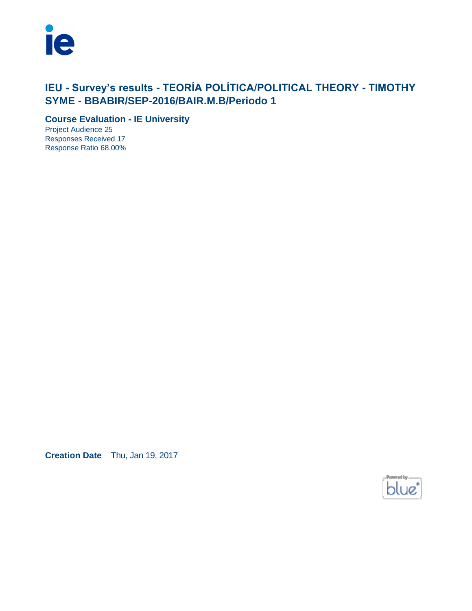

# **IEU - Survey's results - TEORÍA POLÍTICA/POLITICAL THEORY - TIMOTHY SYME - BBABIR/SEP-2016/BAIR.M.B/Periodo 1**

**Course Evaluation - IE University**

Project Audience 25 Responses Received 17 Response Ratio 68.00%

**Creation Date** Thu, Jan 19, 2017

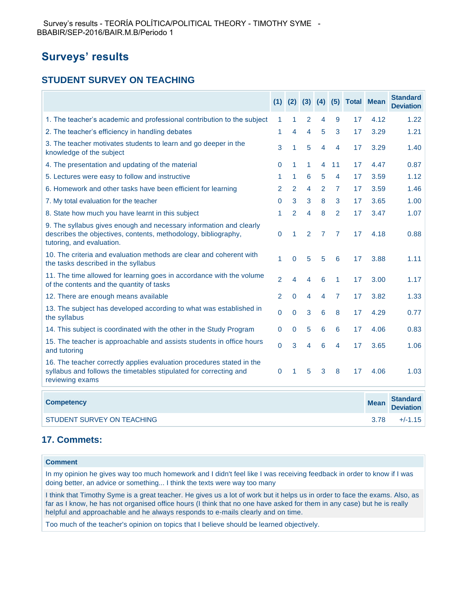# **Surveys' results**

### **STUDENT SURVEY ON TEACHING**

| Survey's results - TEORIA POLITICA/POLITICAL THEORY - TIMOTHY SYME -<br>BBABIR/SEP-2016/BAIR.M.B/Periodo 1                                                                                                                                                                                                                                 |                |                |   |   |                |    |                                          |                                     |
|--------------------------------------------------------------------------------------------------------------------------------------------------------------------------------------------------------------------------------------------------------------------------------------------------------------------------------------------|----------------|----------------|---|---|----------------|----|------------------------------------------|-------------------------------------|
| <b>Surveys' results</b>                                                                                                                                                                                                                                                                                                                    |                |                |   |   |                |    |                                          |                                     |
| <b>STUDENT SURVEY ON TEACHING</b>                                                                                                                                                                                                                                                                                                          |                |                |   |   |                |    |                                          |                                     |
|                                                                                                                                                                                                                                                                                                                                            |                |                |   |   |                |    | $(1)$ $(2)$ $(3)$ $(4)$ $(5)$ Total Mean | <b>Standard</b><br><b>Deviation</b> |
| 1. The teacher's academic and professional contribution to the subject                                                                                                                                                                                                                                                                     | 1              | 1              | 2 | 4 | 9              | 17 | 4.12                                     | 1.22                                |
| 2. The teacher's efficiency in handling debates                                                                                                                                                                                                                                                                                            | 1              | 4              | 4 | 5 | 3              | 17 | 3.29                                     | 1.21                                |
| 3. The teacher motivates students to learn and go deeper in the<br>knowledge of the subject                                                                                                                                                                                                                                                | 3              | 1              | 5 | 4 | 4              | 17 | 3.29                                     | 1.40                                |
| 4. The presentation and updating of the material                                                                                                                                                                                                                                                                                           | $\mathbf 0$    | 1              | 1 | 4 | 11             | 17 | 4.47                                     | 0.87                                |
| 5. Lectures were easy to follow and instructive                                                                                                                                                                                                                                                                                            | 1              | 1.             | 6 | 5 | 4              | 17 | 3.59                                     | 1.12                                |
| 6. Homework and other tasks have been efficient for learning                                                                                                                                                                                                                                                                               | 2              | 2              | 4 | 2 | 7              | 17 | 3.59                                     | 1.46                                |
| 7. My total evaluation for the teacher                                                                                                                                                                                                                                                                                                     | 0              | 3              | 3 | 8 | 3              | 17 | 3.65                                     | 1.00                                |
| 8. State how much you have learnt in this subject                                                                                                                                                                                                                                                                                          | 1              | 2              | 4 | 8 | $\overline{2}$ | 17 | 3.47                                     | 1.07                                |
| 9. The syllabus gives enough and necessary information and clearly<br>describes the objectives, contents, methodology, bibliography,<br>tutoring, and evaluation.                                                                                                                                                                          | $\mathbf 0$    | 1              | 2 | 7 | 7              | 17 | 4.18                                     | 0.88                                |
| 10. The criteria and evaluation methods are clear and coherent with<br>the tasks described in the syllabus                                                                                                                                                                                                                                 | 1              | $\overline{0}$ | 5 | 5 | 6              | 17 | 3.88                                     | 1.11                                |
| 11. The time allowed for learning goes in accordance with the volume<br>of the contents and the quantity of tasks                                                                                                                                                                                                                          | $\overline{2}$ | 4              | 4 | 6 | 1              | 17 | 3.00                                     | 1.17                                |
| 12. There are enough means available                                                                                                                                                                                                                                                                                                       | 2              | $\mathbf 0$    | 4 | 4 | $\overline{7}$ | 17 | 3.82                                     | 1.33                                |
| 13. The subject has developed according to what was established in<br>the syllabus                                                                                                                                                                                                                                                         | $\mathbf 0$    | $\mathbf 0$    | 3 | 6 | 8              | 17 | 4.29                                     | 0.77                                |
| 14. This subject is coordinated with the other in the Study Program                                                                                                                                                                                                                                                                        | $\mathbf 0$    | 0              | 5 | 6 | 6              | 17 | 4.06                                     | 0.83                                |
| 15. The teacher is approachable and assists students in office hours<br>and tutoring                                                                                                                                                                                                                                                       | $\Omega$       | 3              | 4 | 6 | 4              | 17 | 3.65                                     | 1.06                                |
| 16. The teacher correctly applies evaluation procedures stated in the<br>syllabus and follows the timetables stipulated for correcting and<br>reviewing exams                                                                                                                                                                              | 0              | 1              | 5 | 3 | 8              | 17 | 4.06                                     | 1.03                                |
| <b>Competency</b>                                                                                                                                                                                                                                                                                                                          |                |                |   |   |                |    | <b>Mean</b>                              | <b>Standard</b><br><b>Deviation</b> |
| <b>STUDENT SURVEY ON TEACHING</b>                                                                                                                                                                                                                                                                                                          |                |                |   |   |                |    | 3.78                                     | $+/-1.15$                           |
| 17. Commets:                                                                                                                                                                                                                                                                                                                               |                |                |   |   |                |    |                                          |                                     |
| <b>Comment</b>                                                                                                                                                                                                                                                                                                                             |                |                |   |   |                |    |                                          |                                     |
| In my opinion he gives way too much homework and I didn't feel like I was receiving feedback in order to know if I was<br>doing better, an advice or something I think the texts were way too many                                                                                                                                         |                |                |   |   |                |    |                                          |                                     |
| I think that Timothy Syme is a great teacher. He gives us a lot of work but it helps us in order to face the exams. Also, as<br>far as I know, he has not organised office hours (I think that no one have asked for them in any case) but he is really<br>helpful and approachable and he always responds to e-mails clearly and on time. |                |                |   |   |                |    |                                          |                                     |
| Too much of the teacher's opinion on topics that I believe should be learned objectively.                                                                                                                                                                                                                                                  |                |                |   |   |                |    |                                          |                                     |

#### **17. Commets:**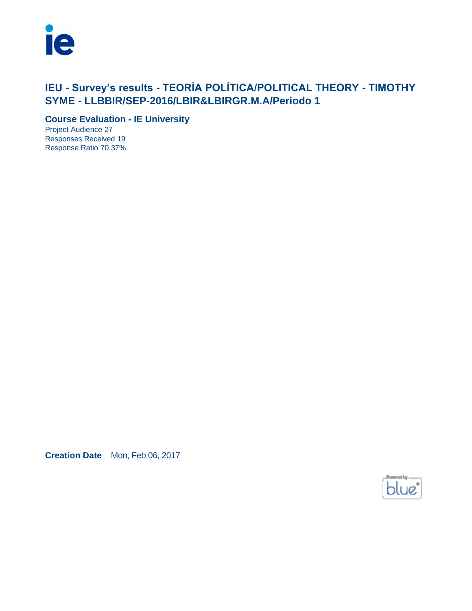

# **IEU - Survey's results - TEORÍA POLÍTICA/POLITICAL THEORY - TIMOTHY SYME - LLBBIR/SEP-2016/LBIR&LBIRGR.M.A/Periodo 1**

**Course Evaluation - IE University**

Project Audience 27 Responses Received 19 Response Ratio 70.37%

**Creation Date** Mon, Feb 06, 2017

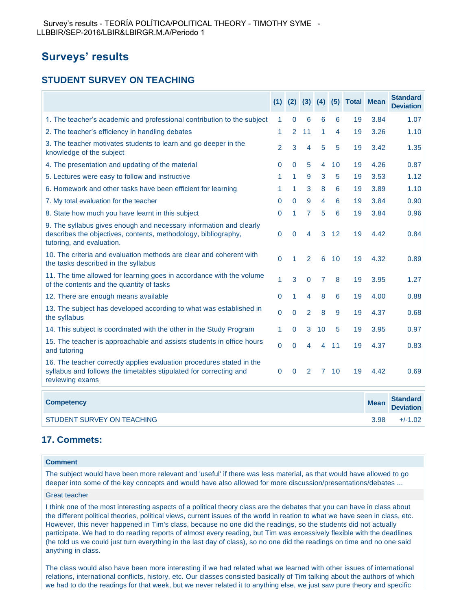## **Surveys' results**

### **STUDENT SURVEY ON TEACHING**

|                                                                                                                                                                   |                |                |                |                |    | $(1)$ $(2)$ $(3)$ $(4)$ $(5)$ Total Mean |             | <b>Standard</b><br><b>Deviation</b> |
|-------------------------------------------------------------------------------------------------------------------------------------------------------------------|----------------|----------------|----------------|----------------|----|------------------------------------------|-------------|-------------------------------------|
| 1. The teacher's academic and professional contribution to the subject                                                                                            | 1              | 0              | 6              | 6              | 6  | 19                                       | 3.84        | 1.07                                |
| 2. The teacher's efficiency in handling debates                                                                                                                   | 1              | $\overline{2}$ | 11             | 1              | 4  | 19                                       | 3.26        | 1.10                                |
| 3. The teacher motivates students to learn and go deeper in the<br>knowledge of the subject                                                                       | $\overline{2}$ | 3              | $\overline{4}$ | 5              | 5  | 19                                       | 3.42        | 1.35                                |
| 4. The presentation and updating of the material                                                                                                                  | 0              | 0              | 5              | 4              | 10 | 19                                       | 4.26        | 0.87                                |
| 5. Lectures were easy to follow and instructive                                                                                                                   | 1              | $\mathbf{1}$   | 9              | 3              | 5  | 19                                       | 3.53        | 1.12                                |
| 6. Homework and other tasks have been efficient for learning                                                                                                      | 1              | 1              | 3              | 8              | 6  | 19                                       | 3.89        | 1.10                                |
| 7. My total evaluation for the teacher                                                                                                                            | 0              | 0              | 9              | 4              | 6  | 19                                       | 3.84        | 0.90                                |
| 8. State how much you have learnt in this subject                                                                                                                 | 0              | $\mathbf{1}$   | $\overline{7}$ | 5              | 6  | 19                                       | 3.84        | 0.96                                |
| 9. The syllabus gives enough and necessary information and clearly<br>describes the objectives, contents, methodology, bibliography,<br>tutoring, and evaluation. | 0              | 0              | 4              | 3              | 12 | 19                                       | 4.42        | 0.84                                |
| 10. The criteria and evaluation methods are clear and coherent with<br>the tasks described in the syllabus                                                        | 0              | 1              | $\overline{2}$ | 6              | 10 | 19                                       | 4.32        | 0.89                                |
| 11. The time allowed for learning goes in accordance with the volume<br>of the contents and the quantity of tasks                                                 | 1              | 3              | 0              | $\overline{7}$ | 8  | 19                                       | 3.95        | 1.27                                |
| 12. There are enough means available                                                                                                                              | $\mathbf{0}$   | 1              | 4              | 8              | 6  | 19                                       | 4.00        | 0.88                                |
| 13. The subject has developed according to what was established in<br>the syllabus                                                                                | 0              | 0              | $\overline{2}$ | 8              | 9  | 19                                       | 4.37        | 0.68                                |
| 14. This subject is coordinated with the other in the Study Program                                                                                               | 1              | 0              | 3              | 10             | 5  | 19                                       | 3.95        | 0.97                                |
| 15. The teacher is approachable and assists students in office hours<br>and tutoring                                                                              | $\mathbf{0}$   | $\Omega$       | 4              | 4              | 11 | 19                                       | 4.37        | 0.83                                |
| 16. The teacher correctly applies evaluation procedures stated in the<br>syllabus and follows the timetables stipulated for correcting and<br>reviewing exams     | 0              | $\Omega$       | 2              | $\mathbf{7}$   | 10 | 19                                       | 4.42        | 0.69                                |
| <b>Competency</b>                                                                                                                                                 |                |                |                |                |    |                                          | <b>Mean</b> | <b>Standard</b><br><b>Deviation</b> |
| STUDENT SURVEY ON TEACHING                                                                                                                                        |                |                |                |                |    |                                          | 3.98        | $+/-1.02$                           |

#### **17. Commets:**

#### **Comment**

The subject would have been more relevant and 'useful' if there was less material, as that would have allowed to go deeper into some of the key concepts and would have also allowed for more discussion/presentations/debates ...

#### Great teacher

I think one of the most interesting aspects of a political theory class are the debates that you can have in class about the different political theories, political views, current issues of the world in reation to what we have seen in class, etc. However, this never happened in Tim's class, because no one did the readings, so the students did not actually participate. We had to do reading reports of almost every reading, but Tim was excessively flexible with the deadlines (he told us we could just turn everything in the last day of class), so no one did the readings on time and no one said anything in class.

The class would also have been more interesting if we had related what we learned with other issues of international relations, international conflicts, history, etc. Our classes consisted basically of Tim talking about the authors of which we had to do the readings for that week, but we never related it to anything else, we just saw pure theory and specific